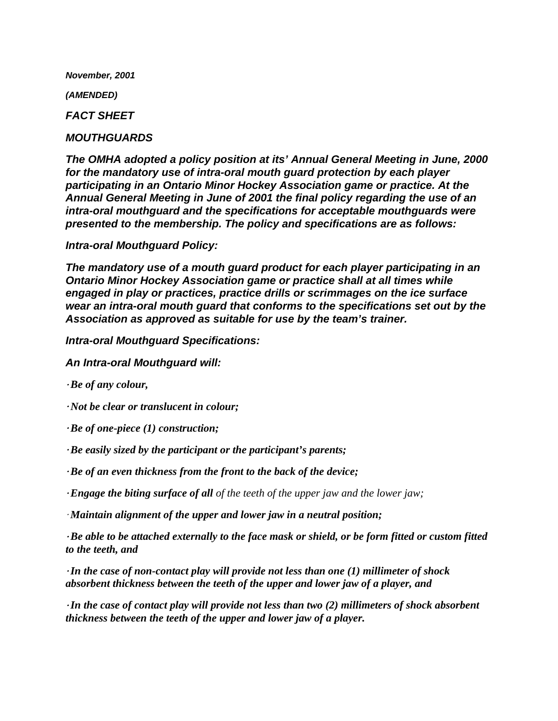*November, 2001*

*(AMENDED)*

*FACT SHEET*

## *MOUTHGUARDS*

*The OMHA adopted a policy position at its' Annual General Meeting in June, 2000 for the mandatory use of intra-oral mouth guard protection by each player participating in an Ontario Minor Hockey Association game or practice. At the Annual General Meeting in June of 2001 the final policy regarding the use of an intra-oral mouthguard and the specifications for acceptable mouthguards were presented to the membership. The policy and specifications are as follows:*

## *Intra-oral Mouthguard Policy:*

*The mandatory use of a mouth guard product for each player participating in an Ontario Minor Hockey Association game or practice shall at all times while engaged in play or practices, practice drills or scrimmages on the ice surface wear an intra-oral mouth guard that conforms to the specifications set out by the Association as approved as suitable for use by the team's trainer.*

*Intra-oral Mouthguard Specifications:*

*An Intra-oral Mouthguard will:*

*Be of any colour,* 

*<i>Not be clear or translucent in colour;* 

 $\cdot$ Be of one-piece (1) construction;

Be easily sized by the participant or the participant's parents;

Be of an even thickness from the front to the back of the device;

*Engage the biting surface of all of the teeth of the upper jaw and the lower jaw;* 

*Maintain alignment of the upper and lower jaw in a neutral position;* 

 $\cdot$ Be able to be attached externally to the face mask or shield, or be form fitted or custom fitted *to the teeth, and*

<sup>A</sup>*In the case of non-contact play will provide not less than one (1) millimeter of shock absorbent thickness between the teeth of the upper and lower jaw of a player, and*

<sup>A</sup>*In the case of contact play will provide not less than two (2) millimeters of shock absorbent thickness between the teeth of the upper and lower jaw of a player.*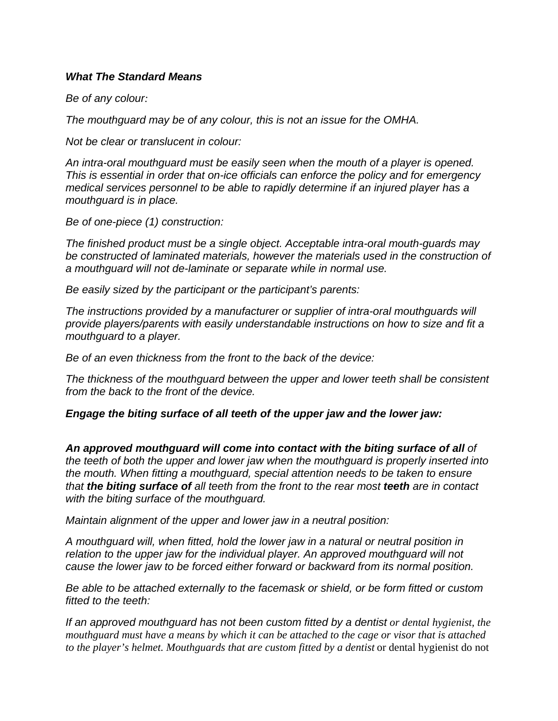## *What The Standard Means*

*Be of any colour:*

*The mouthguard may be of any colour, this is not an issue for the OMHA.*

*Not be clear or translucent in colour:*

*An intra-oral mouthguard must be easily seen when the mouth of a player is opened. This is essential in order that on-ice officials can enforce the policy and for emergency medical services personnel to be able to rapidly determine if an injured player has a mouthguard is in place.*

*Be of one-piece (1) construction:*

*The finished product must be a single object. Acceptable intra-oral mouth-guards may be constructed of laminated materials, however the materials used in the construction of a mouthguard will not de-laminate or separate while in normal use.*

*Be easily sized by the participant or the participant's parents:*

*The instructions provided by a manufacturer or supplier of intra-oral mouthguards will provide players/parents with easily understandable instructions on how to size and fit a mouthguard to a player.* 

*Be of an even thickness from the front to the back of the device:*

*The thickness of the mouthguard between the upper and lower teeth shall be consistent from the back to the front of the device.*

*Engage the biting surface of all teeth of the upper jaw and the lower jaw:*

An approved mouthguard will come into contact with the biting surface of all of *the teeth of both the upper and lower jaw when the mouthguard is properly inserted into the mouth. When fitting a mouthguard, special attention needs to be taken to ensure that the biting surface of all teeth from the front to the rear most teeth are in contact with the biting surface of the mouthguard.*

*Maintain alignment of the upper and lower jaw in a neutral position:*

*A mouthguard will, when fitted, hold the lower jaw in a natural or neutral position in relation to the upper jaw for the individual player. An approved mouthguard will not cause the lower jaw to be forced either forward or backward from its normal position.*

*Be able to be attached externally to the facemask or shield, or be form fitted or custom fitted to the teeth:*

*If an approved mouthguard has not been custom fitted by a dentist or dental hygienist, the mouthguard must have a means by which it can be attached to the cage or visor that is attached to the player's helmet. Mouthguards that are custom fitted by a dentist* or dental hygienist do not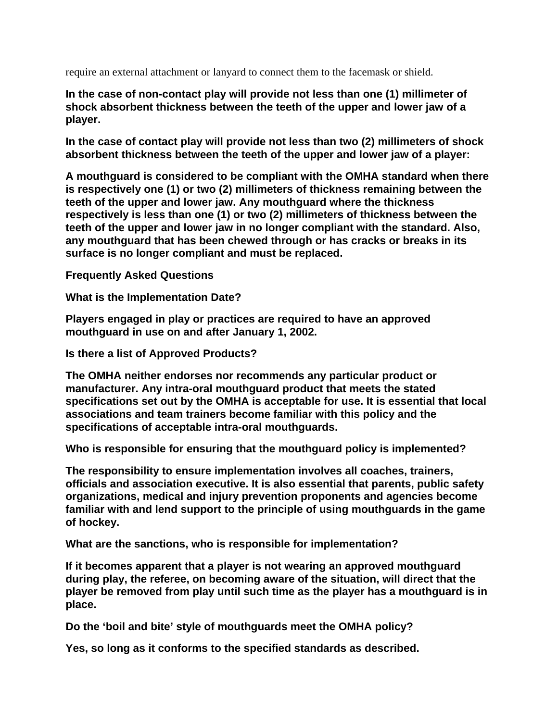require an external attachment or lanyard to connect them to the facemask or shield.

**In the case of non-contact play will provide not less than one (1) millimeter of shock absorbent thickness between the teeth of the upper and lower jaw of a player.**

**In the case of contact play will provide not less than two (2) millimeters of shock absorbent thickness between the teeth of the upper and lower jaw of a player:**

**A mouthguard is considered to be compliant with the OMHA standard when there is respectively one (1) or two (2) millimeters of thickness remaining between the teeth of the upper and lower jaw. Any mouthguard where the thickness respectively is less than one (1) or two (2) millimeters of thickness between the teeth of the upper and lower jaw in no longer compliant with the standard. Also, any mouthguard that has been chewed through or has cracks or breaks in its surface is no longer compliant and must be replaced.**

**Frequently Asked Questions** 

**What is the Implementation Date?**

**Players engaged in play or practices are required to have an approved mouthguard in use on and after January 1, 2002.**

**Is there a list of Approved Products?**

**The OMHA neither endorses nor recommends any particular product or manufacturer. Any intra-oral mouthguard product that meets the stated specifications set out by the OMHA is acceptable for use. It is essential that local associations and team trainers become familiar with this policy and the specifications of acceptable intra-oral mouthguards.**

**Who is responsible for ensuring that the mouthguard policy is implemented?**

**The responsibility to ensure implementation involves all coaches, trainers, officials and association executive. It is also essential that parents, public safety organizations, medical and injury prevention proponents and agencies become familiar with and lend support to the principle of using mouthguards in the game of hockey.**

**What are the sanctions, who is responsible for implementation?**

**If it becomes apparent that a player is not wearing an approved mouthguard during play, the referee, on becoming aware of the situation, will direct that the player be removed from play until such time as the player has a mouthguard is in place.**

**Do the 'boil and bite' style of mouthguards meet the OMHA policy?**

**Yes, so long as it conforms to the specified standards as described.**